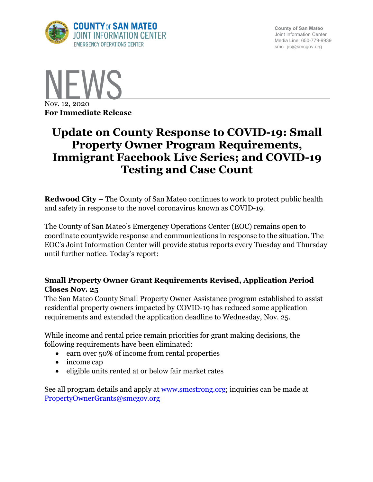

**County of San Mateo** Joint Information Center Media Line: 650-779-9939 smc\_ jic@smcgov.org



# **Update on County Response to COVID-19: Small Property Owner Program Requirements, Immigrant Facebook Live Series; and COVID-19 Testing and Case Count**

**Redwood City –** The County of San Mateo continues to work to protect public health and safety in response to the novel coronavirus known as COVID-19.

The County of San Mateo's Emergency Operations Center (EOC) remains open to coordinate countywide response and communications in response to the situation. The EOC's Joint Information Center will provide status reports every Tuesday and Thursday until further notice. Today's report:

## **Small Property Owner Grant Requirements Revised, Application Period Closes Nov. 25**

The San Mateo County Small Property Owner Assistance program established to assist residential property owners impacted by COVID-19 has reduced some application requirements and extended the application deadline to Wednesday, Nov. 25.

While income and rental price remain priorities for grant making decisions, the following requirements have been eliminated:

- earn over 50% of income from rental properties
- income cap
- eligible units rented at or below fair market rates

See all program details and apply at **www.smcstrong.org;** inquiries can be made at PropertyOwnerGrants@smcgov.org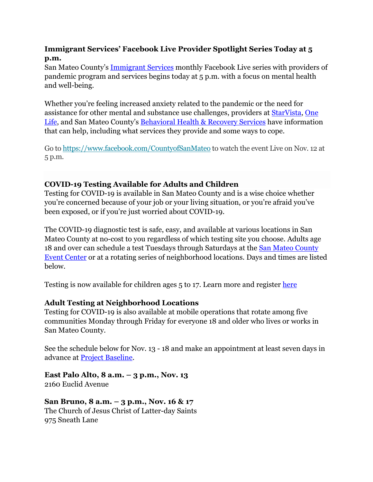## **Immigrant Services' Facebook Live Provider Spotlight Series Today at 5 p.m.**

San Mateo County's Immigrant Services monthly Facebook Live series with providers of pandemic program and services begins today at 5 p.m. with a focus on mental health and well-being.

Whether you're feeling increased anxiety related to the pandemic or the need for assistance for other mental and substance use challenges, providers at StarVista, One Life, and San Mateo County's Behavioral Health & Recovery Services have information that can help, including what services they provide and some ways to cope.

Go to https://www.facebook.com/CountyofSanMateo to watch the event Live on Nov. 12 at 5 p.m.

## **COVID-19 Testing Available for Adults and Children**

Testing for COVID-19 is available in San Mateo County and is a wise choice whether you're concerned because of your job or your living situation, or you're afraid you've been exposed, or if you're just worried about COVID-19.

The COVID-19 diagnostic test is safe, easy, and available at various locations in San Mateo County at no-cost to you regardless of which testing site you choose. Adults age 18 and over can schedule a test Tuesdays through Saturdays at the **San Mateo County** Event Center or at a rotating series of neighborhood locations. Days and times are listed below.

Testing is now available for children ages 5 to 17. Learn more and register here

### **Adult Testing at Neighborhood Locations**

Testing for COVID-19 is also available at mobile operations that rotate among five communities Monday through Friday for everyone 18 and older who lives or works in San Mateo County.

See the schedule below for Nov. 13 - 18 and make an appointment at least seven days in advance at Project Baseline.

**East Palo Alto, 8 a.m. – 3 p.m., Nov. 13** 2160 Euclid Avenue

**San Bruno, 8 a.m. – 3 p.m., Nov. 16 & 17** The Church of Jesus Christ of Latter-day Saints 975 Sneath Lane